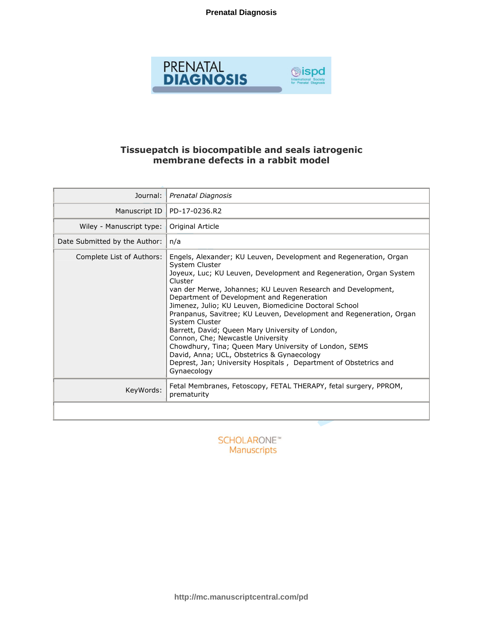

# **Tissuepatch is biocompatible and seals iatrogenic membrane defects in a rabbit model**

| Journal:                      | Prenatal Diagnosis                                                                                                                                                                                                                                                                                                                                                                                                                                                                                                                                                                                                                                                                                                        |
|-------------------------------|---------------------------------------------------------------------------------------------------------------------------------------------------------------------------------------------------------------------------------------------------------------------------------------------------------------------------------------------------------------------------------------------------------------------------------------------------------------------------------------------------------------------------------------------------------------------------------------------------------------------------------------------------------------------------------------------------------------------------|
| Manuscript ID                 | PD-17-0236.R2                                                                                                                                                                                                                                                                                                                                                                                                                                                                                                                                                                                                                                                                                                             |
| Wiley - Manuscript type:      | Original Article                                                                                                                                                                                                                                                                                                                                                                                                                                                                                                                                                                                                                                                                                                          |
| Date Submitted by the Author: | n/a                                                                                                                                                                                                                                                                                                                                                                                                                                                                                                                                                                                                                                                                                                                       |
| Complete List of Authors:     | Engels, Alexander; KU Leuven, Development and Regeneration, Organ<br>System Cluster<br>Joyeux, Luc; KU Leuven, Development and Regeneration, Organ System<br>Cluster<br>van der Merwe, Johannes; KU Leuven Research and Development,<br>Department of Development and Regeneration<br>Jimenez, Julio; KU Leuven, Biomedicine Doctoral School<br>Pranpanus, Savitree; KU Leuven, Development and Regeneration, Organ<br>System Cluster<br>Barrett, David; Queen Mary University of London,<br>Connon, Che; Newcastle University<br>Chowdhury, Tina; Queen Mary University of London, SEMS<br>David, Anna; UCL, Obstetrics & Gynaecology<br>Deprest, Jan; University Hospitals, Department of Obstetrics and<br>Gynaecology |
| KeyWords:                     | Fetal Membranes, Fetoscopy, FETAL THERAPY, fetal surgery, PPROM,<br>prematurity                                                                                                                                                                                                                                                                                                                                                                                                                                                                                                                                                                                                                                           |
|                               |                                                                                                                                                                                                                                                                                                                                                                                                                                                                                                                                                                                                                                                                                                                           |

**SCHOLARONE™** Manuscripts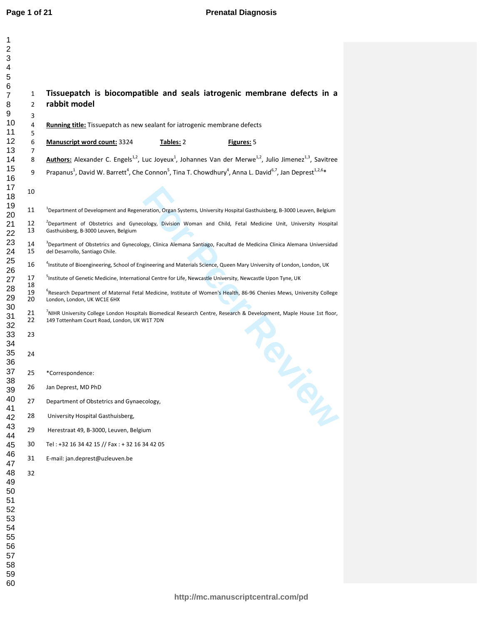$\mathbf{1}$ 

| 1                       |                     |                                                                                                                                                                                  |  |  |  |  |  |  |  |  |
|-------------------------|---------------------|----------------------------------------------------------------------------------------------------------------------------------------------------------------------------------|--|--|--|--|--|--|--|--|
| $\overline{\mathbf{c}}$ |                     |                                                                                                                                                                                  |  |  |  |  |  |  |  |  |
| 3<br>4                  |                     |                                                                                                                                                                                  |  |  |  |  |  |  |  |  |
| 5                       |                     |                                                                                                                                                                                  |  |  |  |  |  |  |  |  |
| 6<br>7                  | 1                   | Tissuepatch is biocompatible and seals iatrogenic membrane defects in a                                                                                                          |  |  |  |  |  |  |  |  |
| 8                       | $\overline{2}$      | rabbit model                                                                                                                                                                     |  |  |  |  |  |  |  |  |
| 9                       | 3                   |                                                                                                                                                                                  |  |  |  |  |  |  |  |  |
| 10<br>11                | 4<br>5              | <b>Running title:</b> Tissuepatch as new sealant for iatrogenic membrane defects                                                                                                 |  |  |  |  |  |  |  |  |
| 12                      | 6                   | Manuscript word count: 3324<br>Tables: 2<br>Figures: 5                                                                                                                           |  |  |  |  |  |  |  |  |
| 13                      | $\overline{7}$<br>8 | <b>Authors:</b> Alexander C. Engels <sup>1,2</sup> , Luc Joyeux <sup>1</sup> , Johannes Van der Merwe <sup>1,2</sup> , Julio Jimenez <sup>1,3</sup> , Savitree                   |  |  |  |  |  |  |  |  |
| 14<br>15                | 9                   | Prapanus <sup>1</sup> , David W. Barrett <sup>4</sup> , Che Connon <sup>5</sup> , Tina T. Chowdhury <sup>4</sup> , Anna L. David <sup>6,7</sup> , Jan Deprest <sup>1,2,6</sup> * |  |  |  |  |  |  |  |  |
| 16<br>17                | 10                  |                                                                                                                                                                                  |  |  |  |  |  |  |  |  |
| 18<br>19                |                     |                                                                                                                                                                                  |  |  |  |  |  |  |  |  |
| 20                      | 11                  | <sup>1</sup> Department of Development and Regeneration, Organ Systems, University Hospital Gasthuisberg, B-3000 Leuven, Belgium                                                 |  |  |  |  |  |  |  |  |
| 21<br>22                | 12<br>13            | <sup>2</sup> Department of Obstetrics and Gynecology, Division Woman and Child, Fetal Medicine Unit, University Hospital<br>Gasthuisberg, B-3000 Leuven, Belgium                 |  |  |  |  |  |  |  |  |
| 23<br>24                | 14<br>15            | <sup>3</sup> Department of Obstetrics and Gynecology, Clinica Alemana Santiago, Facultad de Medicina Clinica Alemana Universidad<br>del Desarrollo, Santiago Chile.              |  |  |  |  |  |  |  |  |
| 25                      | 16                  | "Institute of Bioengineering, School of Engineering and Materials Science, Queen Mary University of London, London, UK                                                           |  |  |  |  |  |  |  |  |
| 26<br>27                | 17                  | <sup>5</sup> Institute of Genetic Medicine, International Centre for Life, Newcastle University, Newcastle Upon Tyne, UK                                                         |  |  |  |  |  |  |  |  |
| 28<br>29<br>30<br>31    | 18<br>19<br>20      | <sup>b</sup> Research Department of Maternal Fetal Medicine, Institute of Women's Health, 86-96 Chenies Mews, University College<br>London, London, UK WC1E 6HX                  |  |  |  |  |  |  |  |  |
|                         | 21<br>22            | 'NIHR University College London Hospitals Biomedical Research Centre, Research & Development, Maple House 1st floor,<br>149 Tottenham Court Road, London, UK W1T 7DN             |  |  |  |  |  |  |  |  |
| 32<br>33                | 23                  |                                                                                                                                                                                  |  |  |  |  |  |  |  |  |
| 34                      |                     |                                                                                                                                                                                  |  |  |  |  |  |  |  |  |
| 35                      | 24                  |                                                                                                                                                                                  |  |  |  |  |  |  |  |  |
| 36<br>37                | 25                  | *Correspondence:                                                                                                                                                                 |  |  |  |  |  |  |  |  |
| 38<br>39                | 26                  | Jan Deprest, MD PhD                                                                                                                                                              |  |  |  |  |  |  |  |  |
| 40                      | 27                  | Department of Obstetrics and Gynaecology,                                                                                                                                        |  |  |  |  |  |  |  |  |
| 41<br>42                | 28                  | University Hospital Gasthuisberg,                                                                                                                                                |  |  |  |  |  |  |  |  |
| 43<br>44                | 29                  | Herestraat 49, B-3000, Leuven, Belgium                                                                                                                                           |  |  |  |  |  |  |  |  |
| 45                      | 30                  | Tel: +32 16 34 42 15 // Fax: +32 16 34 42 05                                                                                                                                     |  |  |  |  |  |  |  |  |
| 46<br>47                | 31                  | E-mail: jan.deprest@uzleuven.be                                                                                                                                                  |  |  |  |  |  |  |  |  |
| 48                      | 32                  |                                                                                                                                                                                  |  |  |  |  |  |  |  |  |
| 49                      |                     |                                                                                                                                                                                  |  |  |  |  |  |  |  |  |
| 50                      |                     |                                                                                                                                                                                  |  |  |  |  |  |  |  |  |
| 51                      |                     |                                                                                                                                                                                  |  |  |  |  |  |  |  |  |
| 52                      |                     |                                                                                                                                                                                  |  |  |  |  |  |  |  |  |
| 53                      |                     |                                                                                                                                                                                  |  |  |  |  |  |  |  |  |
| 54                      |                     |                                                                                                                                                                                  |  |  |  |  |  |  |  |  |
| 55<br>56                |                     |                                                                                                                                                                                  |  |  |  |  |  |  |  |  |
| 57                      |                     |                                                                                                                                                                                  |  |  |  |  |  |  |  |  |
| 58                      |                     |                                                                                                                                                                                  |  |  |  |  |  |  |  |  |
| 59                      |                     |                                                                                                                                                                                  |  |  |  |  |  |  |  |  |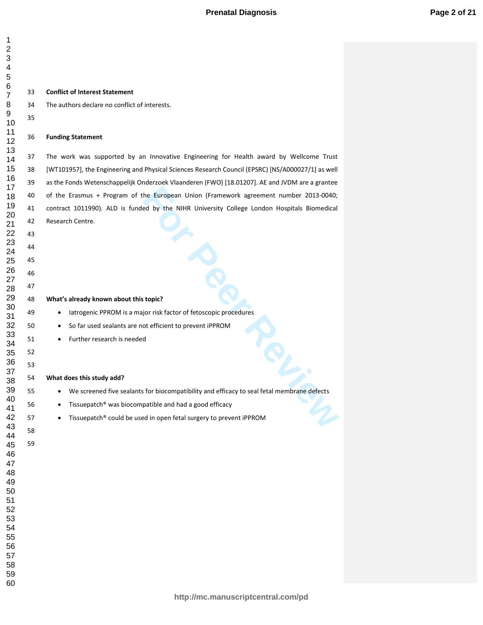| 1               |    |
|-----------------|----|
| $\overline{c}$  |    |
| 3<br>4          |    |
| 5               |    |
| 6               | 33 |
| 7<br>8          | 34 |
| 9<br>10         | 35 |
|                 | 36 |
| 112131415161718 | 37 |
|                 | 38 |
|                 | 39 |
|                 | 40 |
|                 | 41 |
| 20              | 42 |
| 21<br>22        | 43 |
| 23              | 44 |
| 24              |    |
| 25<br>26        | 45 |
| 27              | 46 |
| 28              | 47 |
| 29<br>30        | 48 |
| $\frac{31}{1}$  | 49 |
| 32<br>33<br>34  | 50 |
|                 | 51 |
| ະ<br>35         | 52 |
| 36<br>37        | 53 |
| 38              | 54 |
| ٩q              | 55 |
| 40<br>41        | 56 |
| 42              | 57 |
| 43<br>44        | 58 |
| 45              | 59 |
| 46              |    |
| 47<br>48        |    |
| 49              |    |
| 50              |    |
| 51<br>52        |    |
| 53              |    |
| 54<br>55        |    |
| 56              |    |
| 57              |    |
| 58<br>59        |    |
| 60              |    |

#### **Conflict of Interest Statement**

34 The authors declare no conflict of interests.

#### **Funding Statement**

The European Union (Framework agreement number 2013-0040;<br>
For Peer Review of the NIHR University College London Hospitals Biomedical<br>
Subsemination of the NIHR University College London Hospitals Biomedical<br>
Subsemination 37 The work was supported by an Innovative Engineering for Health award by Wellcome Trust 38 [WT101957], the Engineering and Physical Sciences Research Council (EPSRC) [NS/A000027/1] as well 39 as the Fonds Wetenschappelijk Onderzoek Vlaanderen (FWO) [18.01207]. AE and JVDM are a grantee 40 of the Erasmus + Program of the European Union (Framework agreement number 2013-0040; 41 contract 1011990). ALD is funded by the NIHR University College London Hospitals Biomedical 42 Research Centre.

## **What's already known about this topic?**

• Iatrogenic PPROM is a major risk factor of fetoscopic procedures

- So far used sealants are not efficient to prevent iPPROM
- Further research is needed

#### **What does this study add?**

- We screened five sealants for biocompatibility and efficacy to seal fetal membrane defects
- Tissuepatch® was biocompatible and had a good efficacy
- Tissuepatch® could be used in open fetal surgery to prevent iPPROM

- 
-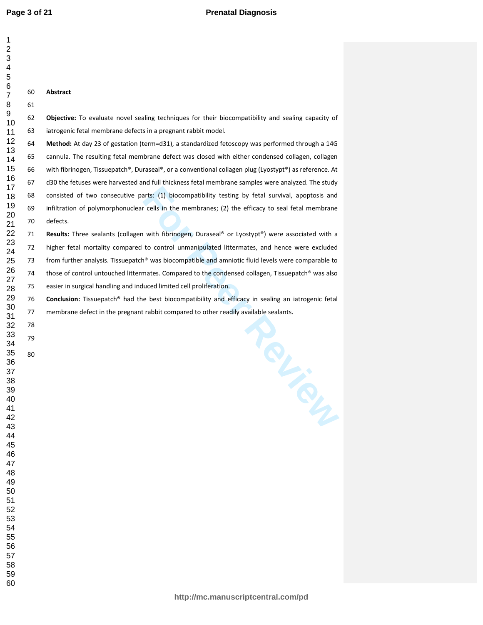| $\mathbf 1$         |    |                                                                                                        |
|---------------------|----|--------------------------------------------------------------------------------------------------------|
| $\mathbf 2$         |    |                                                                                                        |
| 3                   |    |                                                                                                        |
| 4<br>5              |    |                                                                                                        |
| 6<br>$\overline{7}$ | 60 | Abstract                                                                                               |
| 8                   | 61 |                                                                                                        |
| 9                   | 62 | Objective: To evaluate novel sealing techniques for their biocompatibility and sealing capacity of     |
| 10<br>11            | 63 | iatrogenic fetal membrane defects in a pregnant rabbit model.                                          |
| 12                  | 64 | Method: At day 23 of gestation (term=d31), a standardized fetoscopy was performed through a 14G        |
| 13<br>14            | 65 | cannula. The resulting fetal membrane defect was closed with either condensed collagen, collagen       |
| 15                  | 66 | with fibrinogen, Tissuepatch®, Duraseal®, or a conventional collagen plug (Lyostypt®) as reference. At |
| 16                  | 67 | d30 the fetuses were harvested and full thickness fetal membrane samples were analyzed. The study      |
| 17<br>18            | 68 | consisted of two consecutive parts: (1) biocompatibility testing by fetal survival, apoptosis and      |
| 19                  | 69 | infiltration of polymorphonuclear cells in the membranes; (2) the efficacy to seal fetal membrane      |
| 20<br>21            | 70 | defects.                                                                                               |
| 22                  | 71 | Results: Three sealants (collagen with fibrinogen, Duraseal® or Lyostypt®) were associated with a      |
| 23                  | 72 | higher fetal mortality compared to control unmanipulated littermates, and hence were excluded          |
| 24<br>25            | 73 | from further analysis. Tissuepatch® was biocompatible and amniotic fluid levels were comparable to     |
| 26                  | 74 | those of control untouched littermates. Compared to the condensed collagen, Tissuepatch® was also      |
| 27<br>28            | 75 | easier in surgical handling and induced limited cell proliferation.                                    |
| 29                  | 76 | Conclusion: Tissuepatch® had the best biocompatibility and efficacy in sealing an iatrogenic fetal     |
| 30<br>31            | 77 | membrane defect in the pregnant rabbit compared to other readily available sealants.                   |
| 32                  | 78 |                                                                                                        |
| 33                  | 79 | TOL.                                                                                                   |
| 34<br>35            | 80 |                                                                                                        |
| 36                  |    |                                                                                                        |
| 37                  |    |                                                                                                        |
| 38<br>39            |    |                                                                                                        |
| 40                  |    |                                                                                                        |
| 41<br>42            |    |                                                                                                        |
| 43                  |    |                                                                                                        |
| 44                  |    |                                                                                                        |
| 45<br>46            |    |                                                                                                        |
| 47                  |    |                                                                                                        |
| 48                  |    |                                                                                                        |
| 49<br>50            |    |                                                                                                        |
| 51                  |    |                                                                                                        |
| 52                  |    |                                                                                                        |
| 53<br>54            |    |                                                                                                        |
| 55                  |    |                                                                                                        |
| 56                  |    |                                                                                                        |
| 57<br>58            |    |                                                                                                        |
| 59                  |    |                                                                                                        |
| 60                  |    |                                                                                                        |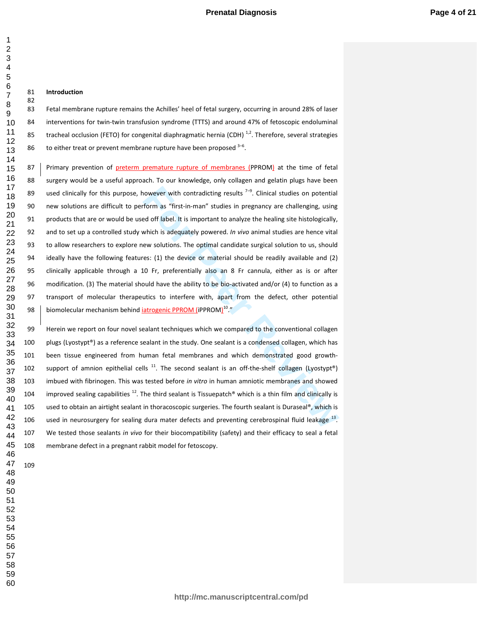### **Introduction**

  83 Fetal membrane rupture remains the Achilles' heel of fetal surgery, occurring in around 28% of laser 84 interventions for twin-twin transfusion syndrome (TTTS) and around 47% of fetoscopic endoluminal 85 tracheal occlusion (FETO) for congenital diaphragmatic hernia (CDH)<sup>1,2</sup>. Therefore, several strategies 86 to either treat or prevent membrane rupture have been proposed  $3-6$ .

**Form as "first-in-man"** studies in pregnancy are challenging, using<br>form as "first-in-man" studies in pregnancy are challenging, using<br>ed off label. It is important to analyze the healing site histologically,<br>which is ade 87 | Primary prevention of **preterm premature rupture of membranes** (PPROM) at the time of fetal 88 surgery would be a useful approach. To our knowledge, only collagen and gelatin plugs have been 89 used clinically for this purpose, however with contradicting results  $7-9$ . Clinical studies on potential 90 new solutions are difficult to perform as "first-in-man" studies in pregnancy are challenging, using 91 products that are or would be used off label. It is important to analyze the healing site histologically, 92 and to set up a controlled study which is adequately powered. *In vivo* animal studies are hence vital 93 to allow researchers to explore new solutions. The optimal candidate surgical solution to us, should 94 ideally have the following features: (1) the device or material should be readily available and (2) 95 clinically applicable through a 10 Fr, preferentially also an 8 Fr cannula, either as is or after 96 modification. (3) The material should have the ability to be bio-activated and/or (4) to function as a 97 transport of molecular therapeutics to interfere with, apart from the defect, other potential 98 | biomolecular mechanism behind *iatrogenic PPROM (iPPROM)<sup>10</sup>.*"

99 Herein we report on four novel sealant techniques which we compared to the conventional collagen 100 plugs (Lyostypt®) as a reference sealant in the study. One sealant is a condensed collagen, which has 101 been tissue engineered from human fetal membranes and which demonstrated good growth-102 support of amnion epithelial cells . The second sealant is an off-the-shelf collagen (Lyostypt®) 103 imbued with fibrinogen. This was tested before *in vitro* in human amniotic membranes and showed 104 improved sealing capabilities  $^{12}$ . The third sealant is Tissuepatch® which is a thin film and clinically is 105 used to obtain an airtight sealant in thoracoscopic surgeries. The fourth sealant is Duraseal®, which is 106 used in neurosurgery for sealing dura mater defects and preventing cerebrospinal fluid leakage  $^{13}$ . 107 We tested those sealants *in vivo* for their biocompatibility (safety) and their efficacy to seal a fetal 108 membrane defect in a pregnant rabbit model for fetoscopy.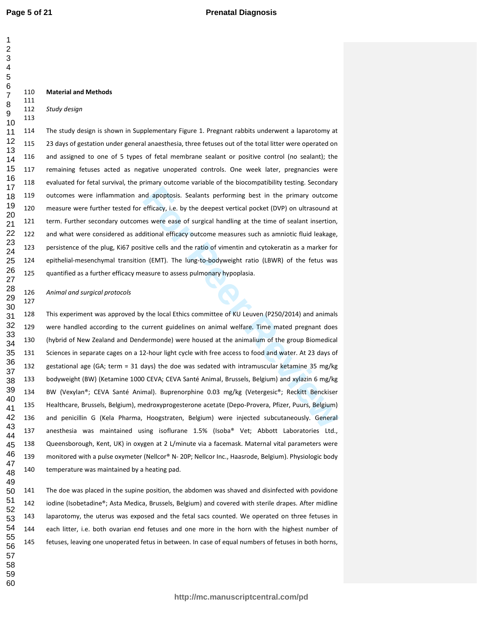#### **Material and Methods**

*Study design* 

114 The study design is shown in Supplementary Figure 1. Pregnant rabbits underwent a laparotomy at 115 23 days of gestation under general anaesthesia, three fetuses out of the total litter were operated on 116 and assigned to one of 5 types of fetal membrane sealant or positive control (no sealant); the 117 remaining fetuses acted as negative unoperated controls. One week later, pregnancies were 118 evaluated for fetal survival, the primary outcome variable of the biocompatibility testing. Secondary 119 outcomes were inflammation and apoptosis. Sealants performing best in the primary outcome 120 measure were further tested for efficacy, i.e. by the deepest vertical pocket (DVP) on ultrasound at 121 term. Further secondary outcomes were ease of surgical handling at the time of sealant insertion, 122 and what were considered as additional efficacy outcome measures such as amniotic fluid leakage, 123 persistence of the plug, Ki67 positive cells and the ratio of vimentin and cytokeratin as a marker for 124 epithelial-mesenchymal transition (EMT). The lung-to-bodyweight ratio (LBWR) of the fetus was 125 quantified as a further efficacy measure to assess pulmonary hypoplasia.

## *Animal and surgical protocols*

nd apoptosis. Sealants performing best in the primary outcome<br>efficacy, i.e. by the deepest vertical pocket (DVP) on ultrasound at<br>es were ease of surgical handling at the time of sealant insertion,<br>ditional efficacy outco 128 This experiment was approved by the local Ethics committee of KU Leuven (P250/2014) and animals 129 were handled according to the current guidelines on animal welfare. Time mated pregnant does 130 (hybrid of New Zealand and Dendermonde) were housed at the animalium of the group Biomedical 131 Sciences in separate cages on a 12-hour light cycle with free access to food and water. At 23 days of 132 gestational age (GA; term = 31 days) the doe was sedated with intramuscular ketamine 35 mg/kg 133 bodyweight (BW) (Ketamine 1000 CEVA; CEVA Santé Animal, Brussels, Belgium) and xylazin 6 mg/kg 134 BW (Vexylan®; CEVA Santé Animal). Buprenorphine 0.03 mg/kg (Vetergesic®; Reckitt Benckiser 135 Healthcare, Brussels, Belgium), medroxyprogesterone acetate (Depo-Provera, Pfizer, Puurs, Belgium) 136 and penicillin G (Kela Pharma, Hoogstraten, Belgium) were injected subcutaneously. General 137 anesthesia was maintained using isoflurane 1.5% (Isoba® Vet; Abbott Laboratories Ltd., 138 Queensborough, Kent, UK) in oxygen at 2 L/minute via a facemask. Maternal vital parameters were 139 monitored with a pulse oxymeter (Nellcor® N- 20P; Nellcor Inc., Haasrode, Belgium). Physiologic body 140 temperature was maintained by a heating pad.

141 The doe was placed in the supine position, the abdomen was shaved and disinfected with povidone 142 iodine (Isobetadine®; Asta Medica, Brussels, Belgium) and covered with sterile drapes. After midline 143 laparotomy, the uterus was exposed and the fetal sacs counted. We operated on three fetuses in 144 each litter, i.e. both ovarian end fetuses and one more in the horn with the highest number of 145 fetuses, leaving one unoperated fetus in between. In case of equal numbers of fetuses in both horns,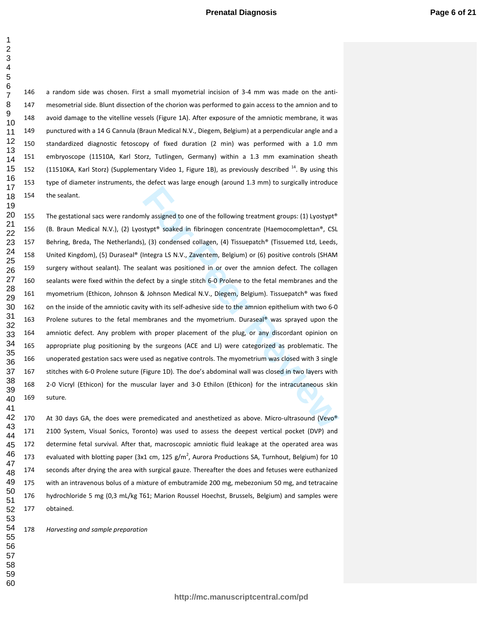146 a random side was chosen. First a small myometrial incision of 3-4 mm was made on the anti-147 mesometrial side. Blunt dissection of the chorion was performed to gain access to the amnion and to 148 avoid damage to the vitelline vessels (Figure 1A). After exposure of the amniotic membrane, it was 149 punctured with a 14 G Cannula (Braun Medical N.V., Diegem, Belgium) at a perpendicular angle and a 150 standardized diagnostic fetoscopy of fixed duration (2 min) was performed with a 1.0 mm 151 embryoscope (11510A, Karl Storz, Tutlingen, Germany) within a 1.3 mm examination sheath 152 (11510KA, Karl Storz) (Supplementary Video 1, Figure 1B), as previously described <sup>14</sup>. By using this 153 type of diameter instruments, the defect was large enough (around 1.3 mm) to surgically introduce 154 the sealant.

**For Perronnially assigned to one of the following treatment groups: (1) Lyostypt®<br>
<b>Stypt®** soaked in fibrinogen concentrate (Haemocomplettan®, CSL<br> **For Peer Review Collagen, (4)** Tissuepatch® (Tissuemed Ltd, Leeds,<br>
Int 155 The gestational sacs were randomly assigned to one of the following treatment groups: (1) Lyostypt® 156 (B. Braun Medical N.V.), (2) Lyostypt® soaked in fibrinogen concentrate (Haemocomplettan®, CSL 157 Behring, Breda, The Netherlands), (3) condensed collagen, (4) Tissuepatch® (Tissuemed Ltd, Leeds, 158 United Kingdom), (5) Duraseal® (Integra LS N.V., Zaventem, Belgium) or (6) positive controls (SHAM 159 surgery without sealant). The sealant was positioned in or over the amnion defect. The collagen 160 sealants were fixed within the defect by a single stitch 6-0 Prolene to the fetal membranes and the 161 myometrium (Ethicon, Johnson & Johnson Medical N.V., Diegem, Belgium). Tissuepatch® was fixed 162 on the inside of the amniotic cavity with its self-adhesive side to the amnion epithelium with two 6-0 163 Prolene sutures to the fetal membranes and the myometrium. Duraseal® was sprayed upon the 164 amniotic defect. Any problem with proper placement of the plug, or any discordant opinion on 165 appropriate plug positioning by the surgeons (ACE and LJ) were categorized as problematic. The 166 unoperated gestation sacs were used as negative controls. The myometrium was closed with 3 single 167 stitches with 6-0 Prolene suture (Figure 1D). The doe's abdominal wall was closed in two layers with 168 2-0 Vicryl (Ethicon) for the muscular layer and 3-0 Ethilon (Ethicon) for the intracutaneous skin 169 suture. 

170 At 30 days GA, the does were premedicated and anesthetized as above. Micro-ultrasound (Vevo® 171 2100 System, Visual Sonics, Toronto) was used to assess the deepest vertical pocket (DVP) and 172 determine fetal survival. After that, macroscopic amniotic fluid leakage at the operated area was 173 evaluated with blotting paper (3x1 cm, 125 g/m<sup>2</sup>, Aurora Productions SA, Turnhout, Belgium) for 10 174 seconds after drying the area with surgical gauze. Thereafter the does and fetuses were euthanized 175 with an intravenous bolus of a mixture of embutramide 200 mg, mebezonium 50 mg, and tetracaine 176 hydrochloride 5 mg (0,3 mL/kg T61; Marion Roussel Hoechst, Brussels, Belgium) and samples were 177 obtained. 

*Harvesting and sample preparation* 

**http://mc.manuscriptcentral.com/pd**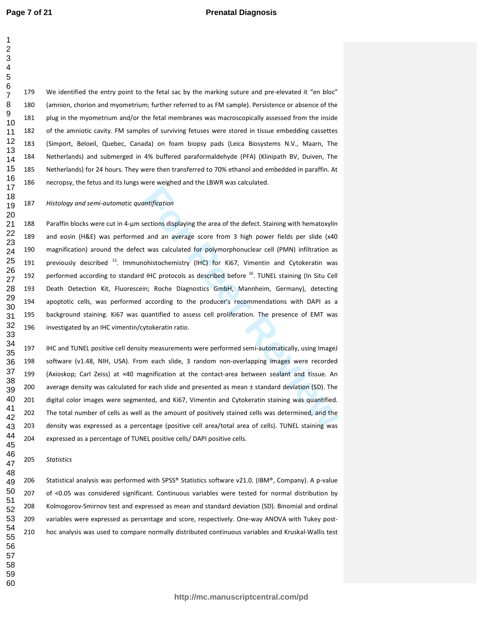179 We identified the entry point to the fetal sac by the marking suture and pre-elevated it "en bloc" 180 (amnion, chorion and myometrium; further referred to as FM sample). Persistence or absence of the 181 plug in the myometrium and/or the fetal membranes was macroscopically assessed from the inside 182 of the amniotic cavity. FM samples of surviving fetuses were stored in tissue embedding cassettes 183 (Simport, Beloeil, Quebec, Canada) on foam biopsy pads (Leica Biosystems N.V., Maarn, The 184 Netherlands) and submerged in 4% buffered paraformaldehyde (PFA) (Klinipath BV, Duiven, The 185 Netherlands) for 24 hours. They were then transferred to 70% ethanol and embedded in paraffin. At 186 necropsy, the fetus and its lungs were weighed and the LBWR was calculated. 

#### *Histology and semi-automatic quantification*

matification<br> **Formation**<br> **Formation**<br> **Formation**<br> **Formation**<br> **Formation**<br> **Formation**<br> **Formation**<br> **Formation**<br> **Formation**<br> **Formation**<br> **Formation**<br> **Formation**<br> **Formation**<br> **Formation**<br> **Formation**<br> **Formation**<br> 188 Paraffin blocks were cut in 4-µm sections displaying the area of the defect. Staining with hematoxylin 189 and eosin (H&E) was performed and an average score from 3 high power fields per slide (x40 190 magnification) around the defect was calculated for polymorphonuclear cell (PMN) infiltration as 191 previously described <sup>15</sup>. Immunohistochemistry (IHC) for Ki67, Vimentin and Cytokeratin was 192 performed according to standard IHC protocols as described before  $^{16}$ . TUNEL staining (In Situ Cell 193 Death Detection Kit, Fluorescein; Roche Diagnostics GmbH, Mannheim, Germany), detecting 194 apoptotic cells, was performed according to the producer's recommendations with DAPI as a 195 background staining. Ki67 was quantified to assess cell proliferation. The presence of EMT was 196 investigated by an IHC vimentin/cytokeratin ratio.

197 IHC and TUNEL positive cell density measurements were performed semi-automatically, using ImageJ 198 software (v1.48, NIH, USA). From each slide, 3 random non-overlapping images were recorded 199 (Axioskop; Carl Zeiss) at ×40 magnification at the contact-area between sealant and tissue. An 200 average density was calculated for each slide and presented as mean ± standard deviation (SD). The 201 digital color images were segmented, and Ki67, Vimentin and Cytokeratin staining was quantified. 202 The total number of cells as well as the amount of positively stained cells was determined, and the 203 density was expressed as a percentage (positive cell area/total area of cells). TUNEL staining was 204 expressed as a percentage of TUNEL positive cells/ DAPI positive cells. 

*Statistics* 

 

206 Statistical analysis was performed with SPSS® Statistics software v21.0. (IBM®, Company). A p-value 207 of <0.05 was considered significant. Continuous variables were tested for normal distribution by 208 Kolmogorov-Smirnov test and expressed as mean and standard deviation (SD). Binomial and ordinal 209 variables were expressed as percentage and score, respectively. One-way ANOVA with Tukey post-210 hoc analysis was used to compare normally distributed continuous variables and Kruskal-Wallis test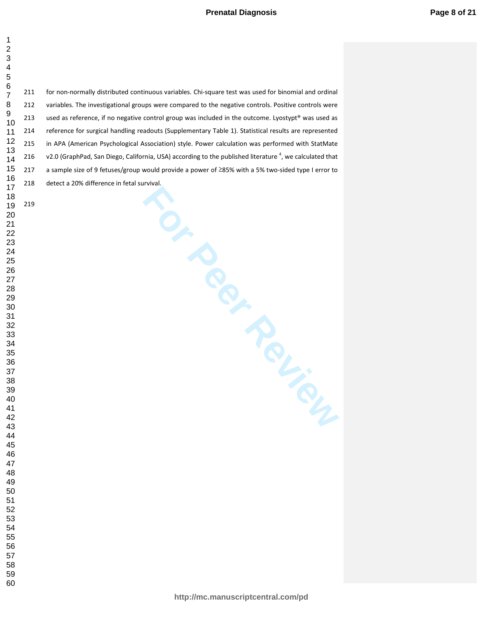211 for non-normally distributed continuous variables. Chi-square test was used for binomial and ordinal 212 variables. The investigational groups were compared to the negative controls. Positive controls were 213 used as reference, if no negative control group was included in the outcome. Lyostypt® was used as 214 reference for surgical handling readouts (Supplementary Table 1). Statistical results are represented 215 in APA (American Psychological Association) style. Power calculation was performed with StatMate 216  $\,$  v2.0 (GraphPad, San Diego, California, USA) according to the published literature  $\,4$ , we calculated that 217 a sample size of 9 fetuses/group would provide a power of ≥85% with a 5% two-sided type I error to 218 detect a 20% difference in fetal survival.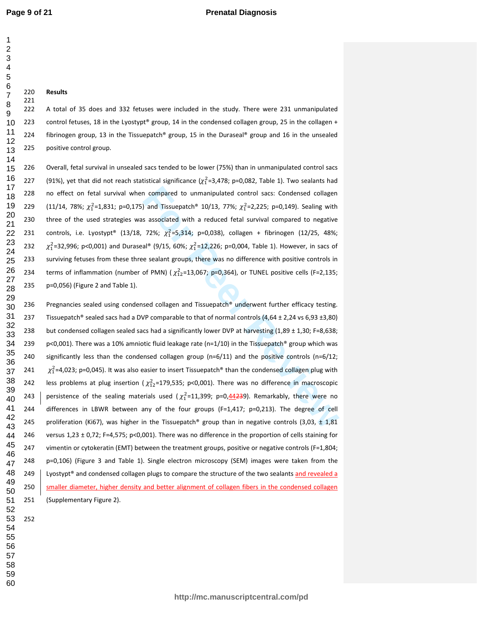# 222 A total of 35 does and 332 fetuses were included in the study. There were 231 unmanipulated 223 control fetuses, 18 in the Lyostypt® group, 14 in the condensed collagen group, 25 in the collagen + 224 fibrinogen group, 13 in the Tissuepatch® group, 15 in the Duraseal® group and 16 in the unsealed 225 positive control group.

226 Overall, fetal survival in unsealed sacs tended to be lower (75%) than in unmanipulated control sacs 227 (91%), yet that did not reach statistical significance ( $\chi_1^2$ =3,478; p=0,082, Table 1). Two sealants had 228 no effect on fetal survival when compared to unmanipulated control sacs: Condensed collagen 229 (11/14, 78%;  $\chi_1^2$ =1,831; p=0,175) and Tissuepatch® 10/13, 77%;  $\chi_1^2$ =2,225; p=0,149). Sealing with 230 three of the used strategies was associated with a reduced fetal survival compared to negative 231 controls, i.e. Lyostypt® (13/18, 72%;  $\chi_1^2$ =5,314; p=0,038), collagen + fibrinogen (12/25, 48%; 232  $\chi_1^2$ =32,996; p<0,001) and Duraseal® (9/15, 60%;  $\chi_1^2$ =12,226; p=0,004, Table 1). However, in sacs of 233 surviving fetuses from these three sealant groups, there was no difference with positive controls in 234 terms of inflammation (number of PMN) ( $\chi_{12}^2$ =13,067; p=0,364), or TUNEL positive cells (F=2,135; 235 p=0,056) (Figure 2 and Table 1).

**Example 18** commanipulated control sacs: Condensed collagen<br>
and Tissuepatch® 10/13, 77%;  $\chi_1^2$ =2,225; p=0,149). Sealing with<br>
s associated with a reduced fetal survival compared to negative<br>
72%;  $\chi_1^2$ =5,314; p=0, 236 Pregnancies sealed using condensed collagen and Tissuepatch® underwent further efficacy testing. 237 Tissuepatch® sealed sacs had a DVP comparable to that of normal controls  $(4,64 \pm 2,24 \text{ vs } 6,93 \pm 3,80)$ 238 but condensed collagen sealed sacs had a significantly lower DVP at harvesting  $(1,89 \pm 1,30)$ ; F=8,638; 239 p<0,001). There was a 10% amniotic fluid leakage rate (n=1/10) in the Tissuepatch® group which was 240 significantly less than the condensed collagen group  $(n=6/11)$  and the positive controls  $(n=6/12;$ 241  $\chi_1^2$ =4,023; p=0,045). It was also easier to insert Tissuepatch® than the condensed collagen plug with 242 less problems at plug insertion ( $\chi_{12}^2$ =179,535; p<0,001). There was no difference in macroscopic 243 | persistence of the sealing materials used ( $\chi_1^2$ =11,399; p=0, $\frac{44239}{3}$ ). Remarkably, there were no 244 differences in LBWR between any of the four groups (F=1,417; p=0,213). The degree of cell 245 proliferation (Ki67), was higher in the Tissuepatch® group than in negative controls (3,03,  $\pm$  1,81 246 versus 1,23  $\pm$  0,72; F=4,575; p<0,001). There was no difference in the proportion of cells staining for 247 vimentin or cytokeratin (EMT) between the treatment groups, positive or negative controls (F=1,804; 248 p=0,106) (Figure 3 and Table 1). Single electron microscopy (SEM) images were taken from the 249 | Lyostypt® and condensed collagen plugs to compare the structure of the two sealants and revealed a 250 smaller diameter, higher density and better alignment of collagen fibers in the condensed collagen 251 (Supplementary Figure 2).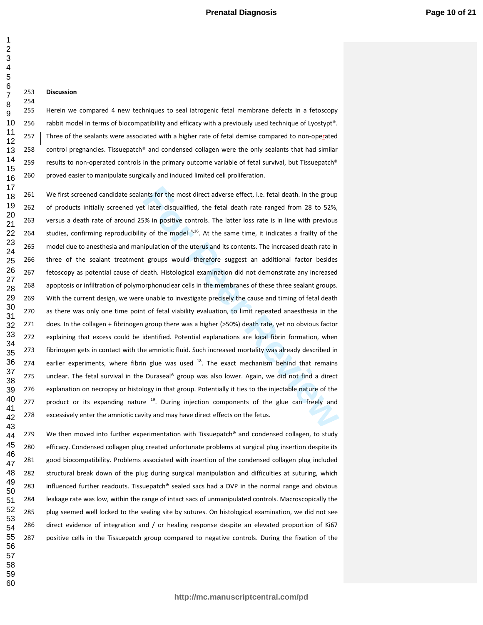## **Discussion**

 $\mathbf{1}$  $\overline{2}$ 

> 255 Herein we compared 4 new techniques to seal iatrogenic fetal membrane defects in a fetoscopy 256 rabbit model in terms of biocompatibility and efficacy with a previously used technique of Lyostypt®. 257 Three of the sealants were associated with a higher rate of fetal demise compared to non-operated 258 control pregnancies. Tissuepatch® and condensed collagen were the only sealants that had similar 259 results to non-operated controls in the primary outcome variable of fetal survival, but Tissuepatch® 260 proved easier to manipulate surgically and induced limited cell proliferation.

ants for the most direct adverse effect, i.e. fetal death. In the group<br>t later disqualified, the fetal death rate ranged from 28 to 52%,<br>5% in positive controls. The latter loss rate is in line with previous<br>ty of the mod 261 We first screened candidate sealants for the most direct adverse effect, i.e. fetal death. In the group 262 of products initially screened yet later disqualified, the fetal death rate ranged from 28 to 52%, 263 versus a death rate of around 25% in positive controls. The latter loss rate is in line with previous 264 studies, confirming reproducibility of the model  $4^{16}$ . At the same time, it indicates a frailty of the 265 model due to anesthesia and manipulation of the uterus and its contents. The increased death rate in 266 three of the sealant treatment groups would therefore suggest an additional factor besides 267 fetoscopy as potential cause of death. Histological examination did not demonstrate any increased 268 apoptosis or infiltration of polymorphonuclear cells in the membranes of these three sealant groups. 269 With the current design, we were unable to investigate precisely the cause and timing of fetal death 270 as there was only one time point of fetal viability evaluation, to limit repeated anaesthesia in the 271 does. In the collagen + fibrinogen group there was a higher (>50%) death rate, yet no obvious factor 272 explaining that excess could be identified. Potential explanations are local fibrin formation, when 273 fibrinogen gets in contact with the amniotic fluid. Such increased mortality was already described in 274 earlier experiments, where fibrin glue was used  $^{18}$ . The exact mechanism behind that remains 275 unclear. The fetal survival in the Duraseal® group was also lower. Again, we did not find a direct 276 explanation on necropsy or histology in that group. Potentially it ties to the injectable nature of the 277 product or its expanding nature . During injection components of the glue can freely and 278 excessively enter the amniotic cavity and may have direct effects on the fetus.

279 We then moved into further experimentation with Tissuepatch® and condensed collagen, to study 280 efficacy. Condensed collagen plug created unfortunate problems at surgical plug insertion despite its 281 good biocompatibility. Problems associated with insertion of the condensed collagen plug included 282 structural break down of the plug during surgical manipulation and difficulties at suturing, which 283 influenced further readouts. Tissuepatch® sealed sacs had a DVP in the normal range and obvious 284 leakage rate was low, within the range of intact sacs of unmanipulated controls. Macroscopically the 285 plug seemed well locked to the sealing site by sutures. On histological examination, we did not see 286 direct evidence of integration and / or healing response despite an elevated proportion of Ki67 287 positive cells in the Tissuepatch group compared to negative controls. During the fixation of the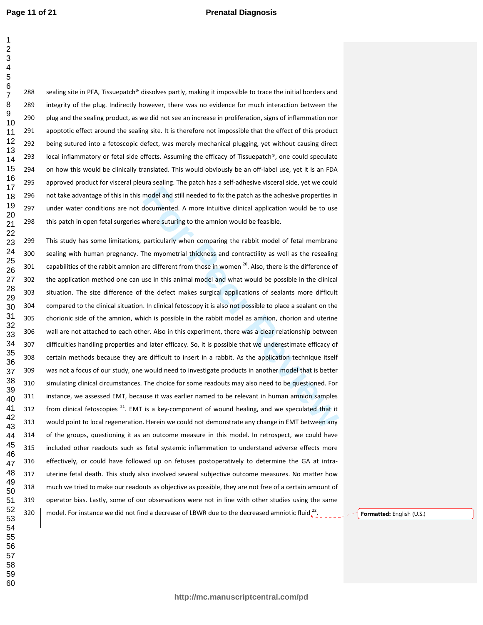288 sealing site in PFA, Tissuepatch® dissolves partly, making it impossible to trace the initial borders and 289 integrity of the plug. Indirectly however, there was no evidence for much interaction between the 290 plug and the sealing product, as we did not see an increase in proliferation, signs of inflammation nor 291 apoptotic effect around the sealing site. It is therefore not impossible that the effect of this product 292 being sutured into a fetoscopic defect, was merely mechanical plugging, yet without causing direct 293 local inflammatory or fetal side effects. Assuming the efficacy of Tissuepatch®, one could speculate 294 on how this would be clinically translated. This would obviously be an off-label use, yet it is an FDA 295 approved product for visceral pleura sealing. The patch has a self-adhesive visceral side, yet we could 296 not take advantage of this in this model and still needed to fix the patch as the adhesive properties in 297 under water conditions are not documented. A more intuitive clinical application would be to use 298 this patch in open fetal surgeries where suturing to the amnion would be feasible. 

model and still needed to fix the patch as the adhesive properties in<br>documented. A more intuitive clinical application would be to use<br>where suturing to the amnion would be feasible.<br>particularly when comparing the rabbit 299 This study has some limitations, particularly when comparing the rabbit model of fetal membrane 300 sealing with human pregnancy. The myometrial thickness and contractility as well as the resealing 301 capabilities of the rabbit amnion are different from those in women  $^{20}$ . Also, there is the difference of 302 the application method one can use in this animal model and what would be possible in the clinical 303 situation. The size difference of the defect makes surgical applications of sealants more difficult 304 compared to the clinical situation. In clinical fetoscopy it is also not possible to place a sealant on the 305 chorionic side of the amnion, which is possible in the rabbit model as amnion, chorion and uterine 306 wall are not attached to each other. Also in this experiment, there was a clear relationship between 307 difficulties handling properties and later efficacy. So, it is possible that we underestimate efficacy of 308 certain methods because they are difficult to insert in a rabbit. As the application technique itself 309 was not a focus of our study, one would need to investigate products in another model that is better 310 simulating clinical circumstances. The choice for some readouts may also need to be questioned. For 311 instance, we assessed EMT, because it was earlier named to be relevant in human amnion samples 312 from clinical fetoscopies  $^{21}$ . EMT is a key-component of wound healing, and we speculated that it 313 would point to local regeneration. Herein we could not demonstrate any change in EMT between any 314 of the groups, questioning it as an outcome measure in this model. In retrospect, we could have 315 included other readouts such as fetal systemic inflammation to understand adverse effects more 316 effectively, or could have followed up on fetuses postoperatively to determine the GA at intra-317 uterine fetal death. This study also involved several subjective outcome measures. No matter how 318 much we tried to make our readouts as objective as possible, they are not free of a certain amount of 319 operator bias. Lastly, some of our observations were not in line with other studies using the same and a model. For instance we did not find a decrease of LBWR due to the decreased amniotic fluid  $\frac{22}{4}$   $\frac{1}{2}$   $\frac{1}{2}$   $\frac{1}{2}$   $\frac{1}{2}$  **Formatted:** English (U.S.)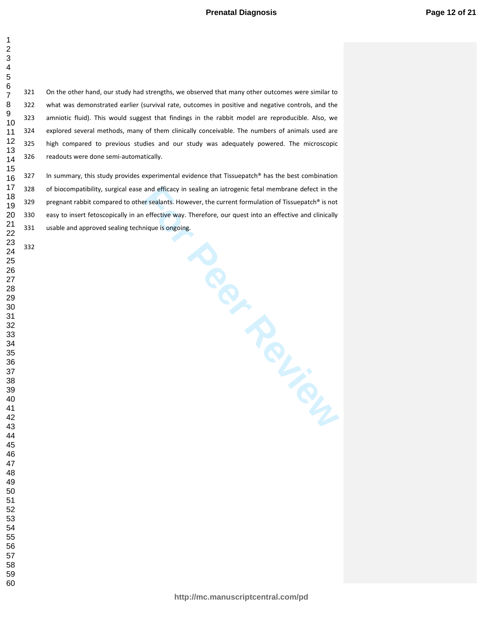321 On the other hand, our study had strengths, we observed that many other outcomes were similar to 322 what was demonstrated earlier (survival rate, outcomes in positive and negative controls, and the 323 amniotic fluid). This would suggest that findings in the rabbit model are reproducible. Also, we 324 explored several methods, many of them clinically conceivable. The numbers of animals used are 325 high compared to previous studies and our study was adequately powered. The microscopic 326 readouts were done semi-automatically.

327 In summary, this study provides experimental evidence that Tissuepatch® has the best combination 328 of biocompatibility, surgical ease and efficacy in sealing an iatrogenic fetal membrane defect in the 329 pregnant rabbit compared to other sealants. However, the current formulation of Tissuepatch® is not 330 easy to insert fetoscopically in an effective way. Therefore, our quest into an effective and clinically 331 usable and approved sealing technique is ongoing.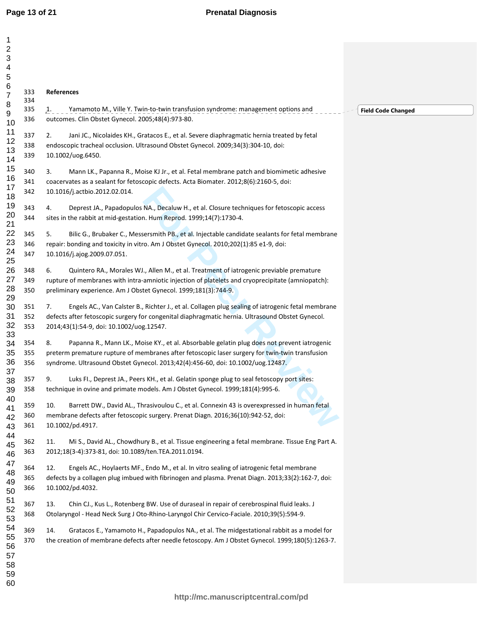| 1        |     |                                                                                                         |                           |
|----------|-----|---------------------------------------------------------------------------------------------------------|---------------------------|
| 2        |     |                                                                                                         |                           |
| 3        |     |                                                                                                         |                           |
| 4        |     |                                                                                                         |                           |
| 5        |     |                                                                                                         |                           |
| 6        |     |                                                                                                         |                           |
| 7        | 333 | <b>References</b>                                                                                       |                           |
| 8        | 334 |                                                                                                         |                           |
| 9        | 335 | Yamamoto M., Ville Y. Twin-to-twin transfusion syndrome: management options and<br>1.                   | <b>Field Code Changed</b> |
| 10       | 336 | outcomes. Clin Obstet Gynecol. 2005;48(4):973-80.                                                       |                           |
|          |     |                                                                                                         |                           |
| 11       | 337 | 2.<br>Jani JC., Nicolaides KH., Gratacos E., et al. Severe diaphragmatic hernia treated by fetal        |                           |
| 12       | 338 | endoscopic tracheal occlusion. Ultrasound Obstet Gynecol. 2009;34(3):304-10, doi:                       |                           |
| 13       | 339 | 10.1002/uog.6450.                                                                                       |                           |
| 14       |     |                                                                                                         |                           |
| 15       | 340 | 3.<br>Mann LK., Papanna R., Moise KJ Jr., et al. Fetal membrane patch and biomimetic adhesive           |                           |
| 16       | 341 | coacervates as a sealant for fetoscopic defects. Acta Biomater. 2012;8(6):2160-5, doi:                  |                           |
| 17       | 342 | 10.1016/j.actbio.2012.02.014.                                                                           |                           |
| 18       |     |                                                                                                         |                           |
| 19       | 343 | Deprest JA., Papadopulos NA., Decaluw H., et al. Closure techniques for fetoscopic access<br>4.         |                           |
| 20       | 344 | sites in the rabbit at mid-gestation. Hum Reprod. 1999;14(7):1730-4.                                    |                           |
| 21       |     |                                                                                                         |                           |
| 22       | 345 | Bilic G., Brubaker C., Messersmith PB., et al. Injectable candidate sealants for fetal membrane<br>5.   |                           |
| 23       | 346 | repair: bonding and toxicity in vitro. Am J Obstet Gynecol. 2010;202(1):85 e1-9, doi:                   |                           |
| 24       | 347 | 10.1016/j.ajog.2009.07.051.                                                                             |                           |
| 25       |     |                                                                                                         |                           |
| 26       | 348 | Quintero RA., Morales WJ., Allen M., et al. Treatment of iatrogenic previable premature<br>6.           |                           |
| 27       | 349 | rupture of membranes with intra-amniotic injection of platelets and cryoprecipitate (amniopatch):       |                           |
| 28       | 350 | preliminary experience. Am J Obstet Gynecol. 1999;181(3):744-9.                                         |                           |
| 29       |     |                                                                                                         |                           |
| 30       | 351 | Engels AC., Van Calster B., Richter J., et al. Collagen plug sealing of iatrogenic fetal membrane<br>7. |                           |
| 31       | 352 | defects after fetoscopic surgery for congenital diaphragmatic hernia. Ultrasound Obstet Gynecol.        |                           |
| 32       | 353 | 2014;43(1):54-9, doi: 10.1002/uog.12547.                                                                |                           |
| 33       |     |                                                                                                         |                           |
| 34       | 354 | Papanna R., Mann LK., Moise KY., et al. Absorbable gelatin plug does not prevent iatrogenic<br>8.       |                           |
| 35       | 355 | preterm premature rupture of membranes after fetoscopic laser surgery for twin-twin transfusion         |                           |
| 36       | 356 | syndrome. Ultrasound Obstet Gynecol. 2013;42(4):456-60, doi: 10.1002/uog.12487.                         |                           |
| 37       | 357 | Luks FI., Deprest JA., Peers KH., et al. Gelatin sponge plug to seal fetoscopy port sites:<br>9.        |                           |
| 38       |     | technique in ovine and primate models. Am J Obstet Gynecol. 1999;181(4):995-6.                          |                           |
| 39       | 358 |                                                                                                         |                           |
| 40       | 359 | Barrett DW., David AL., Thrasivoulou C., et al. Connexin 43 is overexpressed in human fetal<br>10.      |                           |
| 41       | 360 | membrane defects after fetoscopic surgery. Prenat Diagn. 2016;36(10):942-52, doi:                       |                           |
| 42       | 361 | 10.1002/pd.4917.                                                                                        |                           |
| 43       |     |                                                                                                         |                           |
| 44       | 362 | 11.<br>Mi S., David AL., Chowdhury B., et al. Tissue engineering a fetal membrane. Tissue Eng Part A.   |                           |
| 45       | 363 | 2012;18(3-4):373-81, doi: 10.1089/ten.TEA.2011.0194.                                                    |                           |
| 46       |     |                                                                                                         |                           |
| 47       | 364 | Engels AC., Hoylaerts MF., Endo M., et al. In vitro sealing of iatrogenic fetal membrane<br>12.         |                           |
| 48<br>49 | 365 | defects by a collagen plug imbued with fibrinogen and plasma. Prenat Diagn. 2013;33(2):162-7, doi:      |                           |
| 50       | 366 | 10.1002/pd.4032.                                                                                        |                           |
| 51       |     |                                                                                                         |                           |
| 52       | 367 | Chin CJ., Kus L., Rotenberg BW. Use of duraseal in repair of cerebrospinal fluid leaks. J<br>13.        |                           |
| 53       | 368 | Otolaryngol - Head Neck Surg J Oto-Rhino-Laryngol Chir Cervico-Faciale. 2010;39(5):594-9.               |                           |
|          |     |                                                                                                         |                           |
| 54       | 369 | Gratacos E., Yamamoto H., Papadopulos NA., et al. The midgestational rabbit as a model for<br>14.       |                           |
| 55       | 370 | the creation of membrane defects after needle fetoscopy. Am J Obstet Gynecol. 1999;180(5):1263-7.       |                           |
| 56       |     |                                                                                                         |                           |
| 57       |     |                                                                                                         |                           |
| 58       |     |                                                                                                         |                           |
| 59       |     |                                                                                                         |                           |
| 60       |     |                                                                                                         |                           |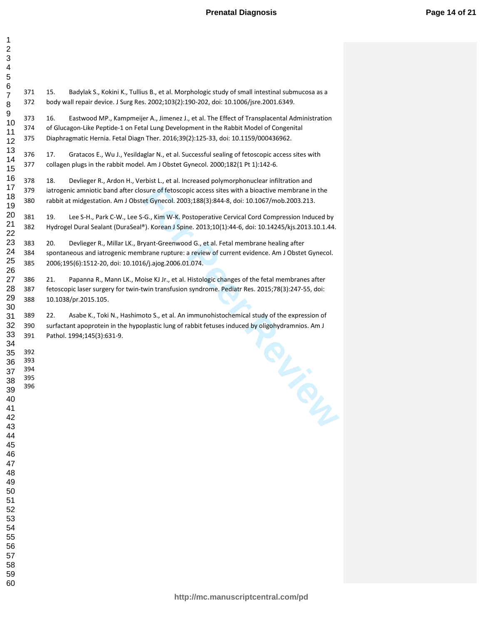| 1                   |            |                                                                                                       |
|---------------------|------------|-------------------------------------------------------------------------------------------------------|
| $\overline{2}$      |            |                                                                                                       |
| 3                   |            |                                                                                                       |
| 4                   |            |                                                                                                       |
| 5                   |            |                                                                                                       |
| 6<br>$\overline{7}$ | 371        | 15.<br>Badylak S., Kokini K., Tullius B., et al. Morphologic study of small intestinal submucosa as a |
| 8                   | 372        | body wall repair device. J Surg Res. 2002;103(2):190-202, doi: 10.1006/jsre.2001.6349.                |
| 9                   |            |                                                                                                       |
| 10                  | 373        | 16.<br>Eastwood MP., Kampmeijer A., Jimenez J., et al. The Effect of Transplacental Administration    |
| 11                  | 374        | of Glucagon-Like Peptide-1 on Fetal Lung Development in the Rabbit Model of Congenital                |
| 12                  | 375        | Diaphragmatic Hernia. Fetal Diagn Ther. 2016;39(2):125-33, doi: 10.1159/000436962.                    |
| 13                  |            |                                                                                                       |
| 14                  | 376        | 17.<br>Gratacos E., Wu J., Yesildaglar N., et al. Successful sealing of fetoscopic access sites with  |
| 15                  | 377        | collagen plugs in the rabbit model. Am J Obstet Gynecol. 2000;182(1 Pt 1):142-6.                      |
| 16                  | 378        | Devlieger R., Ardon H., Verbist L., et al. Increased polymorphonuclear infiltration and<br>18.        |
| 17                  | 379        | iatrogenic amniotic band after closure of fetoscopic access sites with a bioactive membrane in the    |
| 18                  | 380        |                                                                                                       |
| 19                  |            | rabbit at midgestation. Am J Obstet Gynecol. 2003;188(3):844-8, doi: 10.1067/mob.2003.213.            |
| 20                  | 381        | 19.<br>Lee S-H., Park C-W., Lee S-G., Kim W-K. Postoperative Cervical Cord Compression Induced by     |
| 21                  | 382        | Hydrogel Dural Sealant (DuraSeal®). Korean J Spine. 2013;10(1):44-6, doi: 10.14245/kjs.2013.10.1.44.  |
| 22                  |            |                                                                                                       |
| 23                  | 383        | Devlieger R., Millar LK., Bryant-Greenwood G., et al. Fetal membrane healing after<br>20.             |
| 24                  | 384        | spontaneous and iatrogenic membrane rupture: a review of current evidence. Am J Obstet Gynecol.       |
| 25                  | 385        | 2006;195(6):1512-20, doi: 10.1016/j.ajog.2006.01.074.                                                 |
| 26                  |            |                                                                                                       |
| 27<br>28            | 386        | 21.<br>Papanna R., Mann LK., Moise KJ Jr., et al. Histologic changes of the fetal membranes after     |
| 29                  | 387        | fetoscopic laser surgery for twin-twin transfusion syndrome. Pediatr Res. 2015;78(3):247-55, doi:     |
| 30                  | 388        | 10.1038/pr.2015.105.                                                                                  |
| 31                  | 389        | 22.<br>Asabe K., Toki N., Hashimoto S., et al. An immunohistochemical study of the expression of      |
| 32                  | 390        | surfactant apoprotein in the hypoplastic lung of rabbit fetuses induced by oligohydramnios. Am J      |
| 33                  | 391        | Pathol. 1994;145(3):631-9.                                                                            |
| 34                  |            |                                                                                                       |
| 35                  | 392        |                                                                                                       |
| 36                  | 393        |                                                                                                       |
| 37                  | 394        |                                                                                                       |
| 38                  | 395<br>396 | 3H.                                                                                                   |
| 39                  |            |                                                                                                       |
| 40                  |            |                                                                                                       |
| 41                  |            |                                                                                                       |
| 42                  |            |                                                                                                       |
| 43<br>44            |            |                                                                                                       |
| 45                  |            |                                                                                                       |
| 46                  |            |                                                                                                       |
| 47                  |            |                                                                                                       |
| 48                  |            |                                                                                                       |
| 49                  |            |                                                                                                       |
| 50                  |            |                                                                                                       |
| 51                  |            |                                                                                                       |
| 52                  |            |                                                                                                       |
| 53                  |            |                                                                                                       |
| 54                  |            |                                                                                                       |
| 55                  |            |                                                                                                       |
| 56                  |            |                                                                                                       |
| 57                  |            |                                                                                                       |
| 58                  |            |                                                                                                       |
| 59                  |            |                                                                                                       |
| 60                  |            |                                                                                                       |

 $\mathbf{1}$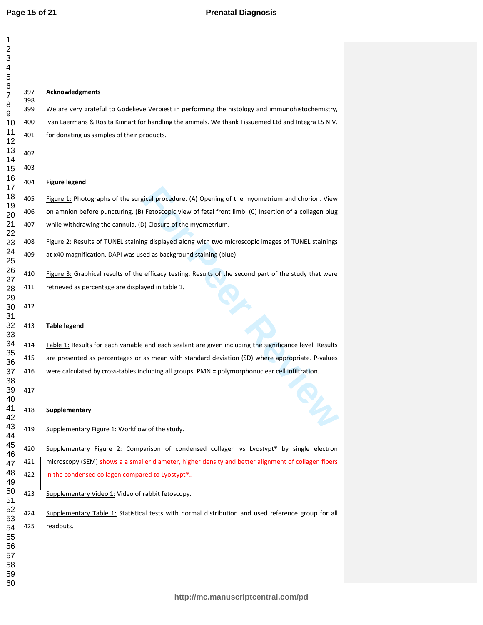| 1              |            |                                                                                                         |
|----------------|------------|---------------------------------------------------------------------------------------------------------|
| $\overline{2}$ |            |                                                                                                         |
| 3              |            |                                                                                                         |
| 4              |            |                                                                                                         |
| 5<br>6         |            |                                                                                                         |
| $\overline{7}$ | 397        | <b>Acknowledgments</b>                                                                                  |
| 8              | 398<br>399 | We are very grateful to Godelieve Verbiest in performing the histology and immunohistochemistry,        |
| 9<br>10        | 400        | Ivan Laermans & Rosita Kinnart for handling the animals. We thank Tissuemed Ltd and Integra LS N.V.     |
| 11             | 401        | for donating us samples of their products.                                                              |
| 12             |            |                                                                                                         |
| 13<br>14       | 402        |                                                                                                         |
| 15             | 403        |                                                                                                         |
| 16<br>17       | 404        | <b>Figure legend</b>                                                                                    |
| 18<br>19       | 405        | Figure 1: Photographs of the surgical procedure. (A) Opening of the myometrium and chorion. View        |
| 20             | 406        | on amnion before puncturing. (B) Fetoscopic view of fetal front limb. (C) Insertion of a collagen plug  |
| 21<br>22       | 407        | while withdrawing the cannula. (D) Closure of the myometrium.                                           |
| 23             | 408        | Figure 2: Results of TUNEL staining displayed along with two microscopic images of TUNEL stainings      |
| 24<br>25       | 409        | at x40 magnification. DAPI was used as background staining (blue).                                      |
| 26<br>27       | 410        | Figure 3: Graphical results of the efficacy testing. Results of the second part of the study that were  |
| 28<br>29       | 411        | retrieved as percentage are displayed in table 1.                                                       |
| 30<br>31       | 412        |                                                                                                         |
| 32<br>33       | 413        | <b>Table legend</b>                                                                                     |
| 34             | 414        | Table 1: Results for each variable and each sealant are given including the significance level. Results |
| 35<br>36       | 415        | are presented as percentages or as mean with standard deviation (SD) where appropriate. P-values        |
| 37<br>38       | 416        | were calculated by cross-tables including all groups. PMN = polymorphonuclear cell infiltration.        |
| 39<br>40       | 417        |                                                                                                         |
| 41             | 418        | Supplementary                                                                                           |
| 42             |            |                                                                                                         |
| 43<br>44       | 419        | Supplementary Figure 1: Workflow of the study.                                                          |
| 45<br>46       | 420        | Supplementary Figure 2: Comparison of condensed collagen vs Lyostypt® by single electron                |
| 47             | 421        | microscopy (SEM) shows a a smaller diameter, higher density and better alignment of collagen fibers     |
| 48<br>49       | 422        | in the condensed collagen compared to Lyostypt <sup>®</sup> .                                           |
| 50<br>51       | 423        | Supplementary Video 1: Video of rabbit fetoscopy.                                                       |
| 52<br>53       | 424        | Supplementary Table 1: Statistical tests with normal distribution and used reference group for all      |
| 54             | 425        | readouts.                                                                                               |
| 55             |            |                                                                                                         |
| 56             |            |                                                                                                         |
| 57             |            |                                                                                                         |
| 58<br>59       |            |                                                                                                         |
| 60             |            |                                                                                                         |
|                |            |                                                                                                         |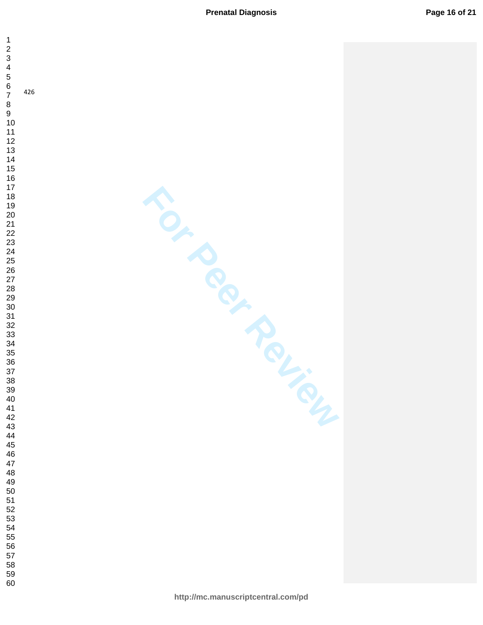| 1<br>$\frac{2}{3}$<br>4<br>5<br>6                  |     |
|----------------------------------------------------|-----|
| 7<br>8<br>9<br>10<br>11<br>12                      | 426 |
| 13<br>$\frac{14}{5}$<br>15                         |     |
| 16<br>17<br>18<br>19<br>20<br>21<br>22<br>23<br>24 |     |
| 25<br>26<br>27<br>28                               |     |
| 29<br>30<br>31<br>32<br>33<br>34                   |     |
| $\frac{35}{1}$<br>36<br>37<br>38<br>39<br>40       |     |
| 41<br>42<br>43<br>44<br>45                         |     |
| 46<br>47<br>48<br>49<br>50                         |     |
| 51<br>5.<br>2<br>53<br>54<br>55<br>56              |     |
| 57<br>58<br>59<br>60                               |     |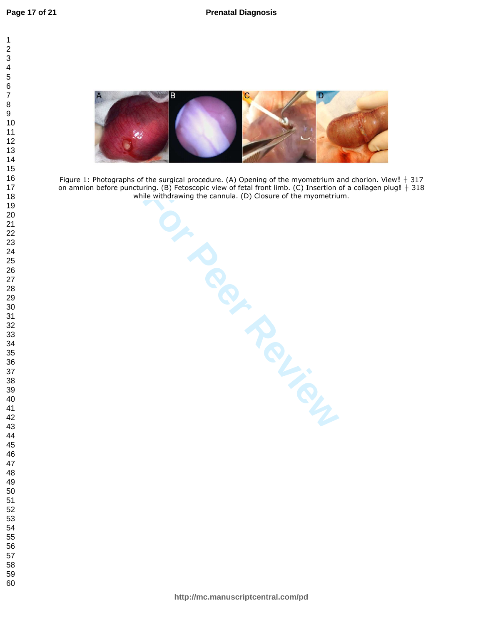$\mathbf{1}$  $\overline{2}$ 





ring. (B) Fetoscopic view of fetal front limb. (C) Insertion of<br>lie withdrawing the cannula. (D) Closure of the myometrium<br>and the myometrium of the myometrium<br>and the myometrium of the myometrium of the myometrium of the Figure 1: Photographs of the surgical procedure. (A) Opening of the myometrium and chorion. View  $\parallel +317$ on amnion before puncturing. (B) Fetoscopic view of fetal front limb. (C) Insertion of a collagen plug  $\parallel + 318$ <br>while withdrawing the cannula. (D) Closure of the myometrium. while withdrawing the cannula. (D) Closure of the myometrium.

**http://mc.manuscriptcentral.com/pd**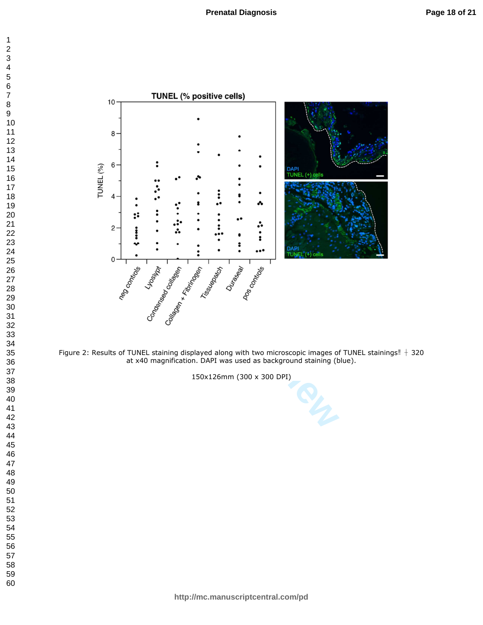

Figure 2: Results of TUNEL staining displayed along with two microscopic images of TUNEL stainings!  $+320$ at x40 magnification. DAPI was used as background staining (blue).

150x126mm (300 x 300 DPI)

 $\mathbf 1$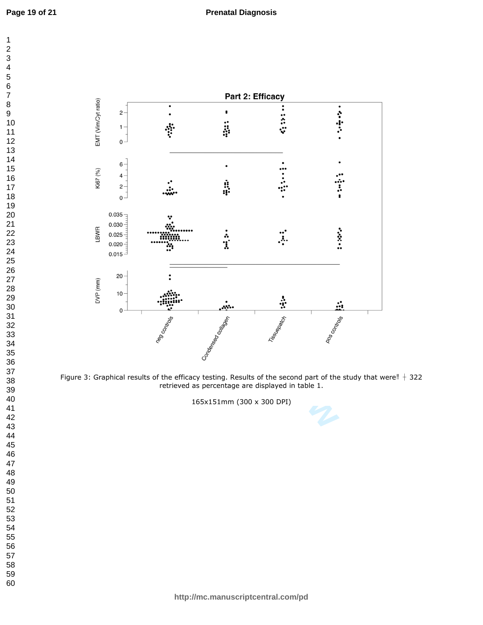

Figure 3: Graphical results of the efficacy testing. Results of the second part of the study that were  $\#$  322 retrieved as percentage are displayed in table 1.

165x151mm (300 x 300 DPI)